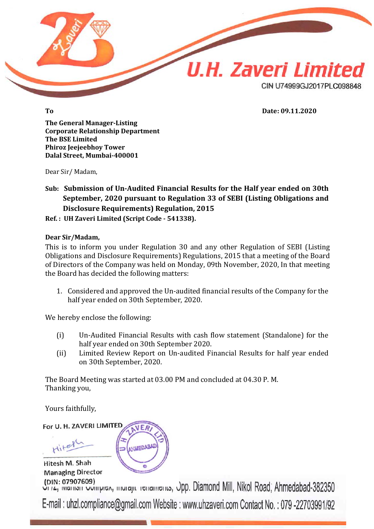

**To Date: 09.11.2020**

**The General Manager-Listing Corporate Relationship Department The BSE Limited Phiroz Jeejeebhoy Tower Dalal Street, Mumbai-400001**

Dear Sir/ Madam,

**Sub: Submission of Un-Audited Financial Results for the Half year ended on 30th September, 2020 pursuant to Regulation 33 of SEBI (Listing Obligations and Disclosure Requirements) Regulation, 2015**

**Ref. : UH Zaveri Limited (Script Code - 541338).**

## **Dear Sir/Madam,**

This is to inform you under Regulation 30 and any other Regulation of SEBI (Listing Obligations and Disclosure Requirements) Regulations, 2015 that a meeting of the Board of Directors of the Company was held on Monday, 09th November, 2020, In that meeting the Board has decided the following matters:

1. Considered and approved the Un‐audited financial results of the Company for the half year ended on 30th September, 2020.

We hereby enclose the following:

- (i) Un‐Audited Financial Results with cash flow statement (Standalone) for the half year ended on 30th September 2020.
- (ii) Limited Review Report on Un‐audited Financial Results for half year ended on 30th September, 2020.

The Board Meeting was started at 03.00 PM and concluded at 04.30 P. M. Thanking you,

Yours faithfully,

For U. H. ZAVERI LIMITED

Hitel

Hitesh M. Shah **Managing Director** (DIN: 07907609)



Coin: 07907609) City of Partisin Complete, Indicate Terramento, Opp. Diamond Mill, Nikol Road, Ahmedabad-382350 E-mail: uhzl.compliance@gmail.com Website: www.uhzaveri.com Contact No.: 079-22703991/92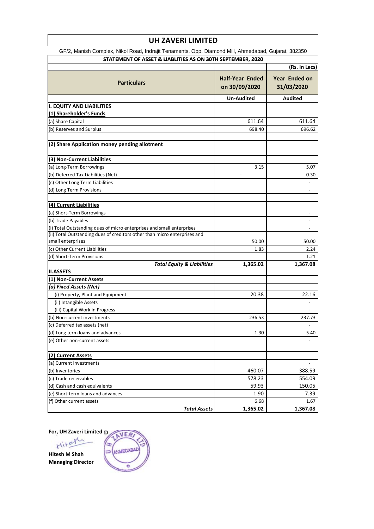| GF/2, Manish Complex, Nikol Road, Indrajit Tenaments, Opp. Diamond Mill, Ahmedabad, Gujarat, 382350<br>STATEMENT OF ASSET & LIABLITIES AS ON 30TH SEPTEMBER, 2020<br>(Rs. In Lacs)<br><b>Half-Year Ended</b><br>Year Ended on<br><b>Particulars</b><br>on 30/09/2020<br>31/03/2020<br><b>Audited</b><br>Un-Audited<br><b>I. EQUITY AND LIABILITIES</b><br>(1) Shareholder's Funds<br>(a) Share Capital<br>611.64<br>611.64<br>(b) Reserves and Surplus<br>698.40<br>696.62<br>(2) Share Application money pending allotment<br>(3) Non-Current Liabilities<br>(a) Long-Term Borrowings<br>3.15<br>5.07<br>(b) Deferred Tax Liabilities (Net)<br>0.30<br>(c) Other Long Term Liabilities<br>(d) Long Term Provisions<br>(4) Current Liabilities<br>(a) Short-Term Borrowings<br>$\overline{a}$<br>(b) Trade Payables<br>$\overline{\phantom{a}}$<br>(i) Total Outstanding dues of micro enterprises and small enterprises<br>$\overline{\phantom{0}}$<br>(ii) Total Outstanding dues of creditors other than micro enterprises and<br>small enterprises<br>50.00<br>50.00<br>(c) Other Current Liabilities<br>1.83<br>2.24<br>(d) Short-Term Provisions<br>1.21<br><b>Total Equity &amp; Liabilities</b><br>1,365.02<br>1,367.08<br><b>II.ASSETS</b><br>(1) Non-Current Assets<br>(a) Fixed Assets (Net)<br>(i) Property, Plant and Equipment<br>20.38<br>22.16<br>(ii) Intangible Assets<br>(iii) Capital Work in Progress<br>$\overline{\phantom{a}}$<br>236.53<br>(b) Non-current investments<br>237.73<br>(c) Deferred tax assets (net)<br>$\overline{\phantom{a}}$<br>(d) Long term loans and advances<br>1.30<br>5.40<br>(e) Other non-current assets<br>$\overline{a}$<br>(2) Current Assets<br>(a) Current investments<br>$\overline{\phantom{a}}$<br>460.07<br>388.59<br>(b) Inventories<br>578.23<br>554.09<br>(c) Trade receivables<br>150.05<br>59.93<br>(d) Cash and cash equivalents<br>1.90<br>7.39<br>(e) Short-term loans and advances<br>6.68<br>1.67<br>(f) Other current assets<br>1,365.02<br>1,367.08<br><b>Total Assets</b> |  | <b>UH ZAVERI LIMITED</b> |  |  |  |  |  |
|---------------------------------------------------------------------------------------------------------------------------------------------------------------------------------------------------------------------------------------------------------------------------------------------------------------------------------------------------------------------------------------------------------------------------------------------------------------------------------------------------------------------------------------------------------------------------------------------------------------------------------------------------------------------------------------------------------------------------------------------------------------------------------------------------------------------------------------------------------------------------------------------------------------------------------------------------------------------------------------------------------------------------------------------------------------------------------------------------------------------------------------------------------------------------------------------------------------------------------------------------------------------------------------------------------------------------------------------------------------------------------------------------------------------------------------------------------------------------------------------------------------------------------------------------------------------------------------------------------------------------------------------------------------------------------------------------------------------------------------------------------------------------------------------------------------------------------------------------------------------------------------------------------------------------------------------------------------------------------------------------------------------------------------------------|--|--------------------------|--|--|--|--|--|
|                                                                                                                                                                                                                                                                                                                                                                                                                                                                                                                                                                                                                                                                                                                                                                                                                                                                                                                                                                                                                                                                                                                                                                                                                                                                                                                                                                                                                                                                                                                                                                                                                                                                                                                                                                                                                                                                                                                                                                                                                                                   |  |                          |  |  |  |  |  |
|                                                                                                                                                                                                                                                                                                                                                                                                                                                                                                                                                                                                                                                                                                                                                                                                                                                                                                                                                                                                                                                                                                                                                                                                                                                                                                                                                                                                                                                                                                                                                                                                                                                                                                                                                                                                                                                                                                                                                                                                                                                   |  |                          |  |  |  |  |  |
|                                                                                                                                                                                                                                                                                                                                                                                                                                                                                                                                                                                                                                                                                                                                                                                                                                                                                                                                                                                                                                                                                                                                                                                                                                                                                                                                                                                                                                                                                                                                                                                                                                                                                                                                                                                                                                                                                                                                                                                                                                                   |  |                          |  |  |  |  |  |
|                                                                                                                                                                                                                                                                                                                                                                                                                                                                                                                                                                                                                                                                                                                                                                                                                                                                                                                                                                                                                                                                                                                                                                                                                                                                                                                                                                                                                                                                                                                                                                                                                                                                                                                                                                                                                                                                                                                                                                                                                                                   |  |                          |  |  |  |  |  |
|                                                                                                                                                                                                                                                                                                                                                                                                                                                                                                                                                                                                                                                                                                                                                                                                                                                                                                                                                                                                                                                                                                                                                                                                                                                                                                                                                                                                                                                                                                                                                                                                                                                                                                                                                                                                                                                                                                                                                                                                                                                   |  |                          |  |  |  |  |  |
|                                                                                                                                                                                                                                                                                                                                                                                                                                                                                                                                                                                                                                                                                                                                                                                                                                                                                                                                                                                                                                                                                                                                                                                                                                                                                                                                                                                                                                                                                                                                                                                                                                                                                                                                                                                                                                                                                                                                                                                                                                                   |  |                          |  |  |  |  |  |
|                                                                                                                                                                                                                                                                                                                                                                                                                                                                                                                                                                                                                                                                                                                                                                                                                                                                                                                                                                                                                                                                                                                                                                                                                                                                                                                                                                                                                                                                                                                                                                                                                                                                                                                                                                                                                                                                                                                                                                                                                                                   |  |                          |  |  |  |  |  |
|                                                                                                                                                                                                                                                                                                                                                                                                                                                                                                                                                                                                                                                                                                                                                                                                                                                                                                                                                                                                                                                                                                                                                                                                                                                                                                                                                                                                                                                                                                                                                                                                                                                                                                                                                                                                                                                                                                                                                                                                                                                   |  |                          |  |  |  |  |  |
|                                                                                                                                                                                                                                                                                                                                                                                                                                                                                                                                                                                                                                                                                                                                                                                                                                                                                                                                                                                                                                                                                                                                                                                                                                                                                                                                                                                                                                                                                                                                                                                                                                                                                                                                                                                                                                                                                                                                                                                                                                                   |  |                          |  |  |  |  |  |
|                                                                                                                                                                                                                                                                                                                                                                                                                                                                                                                                                                                                                                                                                                                                                                                                                                                                                                                                                                                                                                                                                                                                                                                                                                                                                                                                                                                                                                                                                                                                                                                                                                                                                                                                                                                                                                                                                                                                                                                                                                                   |  |                          |  |  |  |  |  |
|                                                                                                                                                                                                                                                                                                                                                                                                                                                                                                                                                                                                                                                                                                                                                                                                                                                                                                                                                                                                                                                                                                                                                                                                                                                                                                                                                                                                                                                                                                                                                                                                                                                                                                                                                                                                                                                                                                                                                                                                                                                   |  |                          |  |  |  |  |  |
|                                                                                                                                                                                                                                                                                                                                                                                                                                                                                                                                                                                                                                                                                                                                                                                                                                                                                                                                                                                                                                                                                                                                                                                                                                                                                                                                                                                                                                                                                                                                                                                                                                                                                                                                                                                                                                                                                                                                                                                                                                                   |  |                          |  |  |  |  |  |
|                                                                                                                                                                                                                                                                                                                                                                                                                                                                                                                                                                                                                                                                                                                                                                                                                                                                                                                                                                                                                                                                                                                                                                                                                                                                                                                                                                                                                                                                                                                                                                                                                                                                                                                                                                                                                                                                                                                                                                                                                                                   |  |                          |  |  |  |  |  |
|                                                                                                                                                                                                                                                                                                                                                                                                                                                                                                                                                                                                                                                                                                                                                                                                                                                                                                                                                                                                                                                                                                                                                                                                                                                                                                                                                                                                                                                                                                                                                                                                                                                                                                                                                                                                                                                                                                                                                                                                                                                   |  |                          |  |  |  |  |  |
|                                                                                                                                                                                                                                                                                                                                                                                                                                                                                                                                                                                                                                                                                                                                                                                                                                                                                                                                                                                                                                                                                                                                                                                                                                                                                                                                                                                                                                                                                                                                                                                                                                                                                                                                                                                                                                                                                                                                                                                                                                                   |  |                          |  |  |  |  |  |
|                                                                                                                                                                                                                                                                                                                                                                                                                                                                                                                                                                                                                                                                                                                                                                                                                                                                                                                                                                                                                                                                                                                                                                                                                                                                                                                                                                                                                                                                                                                                                                                                                                                                                                                                                                                                                                                                                                                                                                                                                                                   |  |                          |  |  |  |  |  |
|                                                                                                                                                                                                                                                                                                                                                                                                                                                                                                                                                                                                                                                                                                                                                                                                                                                                                                                                                                                                                                                                                                                                                                                                                                                                                                                                                                                                                                                                                                                                                                                                                                                                                                                                                                                                                                                                                                                                                                                                                                                   |  |                          |  |  |  |  |  |
|                                                                                                                                                                                                                                                                                                                                                                                                                                                                                                                                                                                                                                                                                                                                                                                                                                                                                                                                                                                                                                                                                                                                                                                                                                                                                                                                                                                                                                                                                                                                                                                                                                                                                                                                                                                                                                                                                                                                                                                                                                                   |  |                          |  |  |  |  |  |
|                                                                                                                                                                                                                                                                                                                                                                                                                                                                                                                                                                                                                                                                                                                                                                                                                                                                                                                                                                                                                                                                                                                                                                                                                                                                                                                                                                                                                                                                                                                                                                                                                                                                                                                                                                                                                                                                                                                                                                                                                                                   |  |                          |  |  |  |  |  |
|                                                                                                                                                                                                                                                                                                                                                                                                                                                                                                                                                                                                                                                                                                                                                                                                                                                                                                                                                                                                                                                                                                                                                                                                                                                                                                                                                                                                                                                                                                                                                                                                                                                                                                                                                                                                                                                                                                                                                                                                                                                   |  |                          |  |  |  |  |  |
|                                                                                                                                                                                                                                                                                                                                                                                                                                                                                                                                                                                                                                                                                                                                                                                                                                                                                                                                                                                                                                                                                                                                                                                                                                                                                                                                                                                                                                                                                                                                                                                                                                                                                                                                                                                                                                                                                                                                                                                                                                                   |  |                          |  |  |  |  |  |
|                                                                                                                                                                                                                                                                                                                                                                                                                                                                                                                                                                                                                                                                                                                                                                                                                                                                                                                                                                                                                                                                                                                                                                                                                                                                                                                                                                                                                                                                                                                                                                                                                                                                                                                                                                                                                                                                                                                                                                                                                                                   |  |                          |  |  |  |  |  |
|                                                                                                                                                                                                                                                                                                                                                                                                                                                                                                                                                                                                                                                                                                                                                                                                                                                                                                                                                                                                                                                                                                                                                                                                                                                                                                                                                                                                                                                                                                                                                                                                                                                                                                                                                                                                                                                                                                                                                                                                                                                   |  |                          |  |  |  |  |  |
|                                                                                                                                                                                                                                                                                                                                                                                                                                                                                                                                                                                                                                                                                                                                                                                                                                                                                                                                                                                                                                                                                                                                                                                                                                                                                                                                                                                                                                                                                                                                                                                                                                                                                                                                                                                                                                                                                                                                                                                                                                                   |  |                          |  |  |  |  |  |
|                                                                                                                                                                                                                                                                                                                                                                                                                                                                                                                                                                                                                                                                                                                                                                                                                                                                                                                                                                                                                                                                                                                                                                                                                                                                                                                                                                                                                                                                                                                                                                                                                                                                                                                                                                                                                                                                                                                                                                                                                                                   |  |                          |  |  |  |  |  |
|                                                                                                                                                                                                                                                                                                                                                                                                                                                                                                                                                                                                                                                                                                                                                                                                                                                                                                                                                                                                                                                                                                                                                                                                                                                                                                                                                                                                                                                                                                                                                                                                                                                                                                                                                                                                                                                                                                                                                                                                                                                   |  |                          |  |  |  |  |  |
|                                                                                                                                                                                                                                                                                                                                                                                                                                                                                                                                                                                                                                                                                                                                                                                                                                                                                                                                                                                                                                                                                                                                                                                                                                                                                                                                                                                                                                                                                                                                                                                                                                                                                                                                                                                                                                                                                                                                                                                                                                                   |  |                          |  |  |  |  |  |
|                                                                                                                                                                                                                                                                                                                                                                                                                                                                                                                                                                                                                                                                                                                                                                                                                                                                                                                                                                                                                                                                                                                                                                                                                                                                                                                                                                                                                                                                                                                                                                                                                                                                                                                                                                                                                                                                                                                                                                                                                                                   |  |                          |  |  |  |  |  |
|                                                                                                                                                                                                                                                                                                                                                                                                                                                                                                                                                                                                                                                                                                                                                                                                                                                                                                                                                                                                                                                                                                                                                                                                                                                                                                                                                                                                                                                                                                                                                                                                                                                                                                                                                                                                                                                                                                                                                                                                                                                   |  |                          |  |  |  |  |  |
|                                                                                                                                                                                                                                                                                                                                                                                                                                                                                                                                                                                                                                                                                                                                                                                                                                                                                                                                                                                                                                                                                                                                                                                                                                                                                                                                                                                                                                                                                                                                                                                                                                                                                                                                                                                                                                                                                                                                                                                                                                                   |  |                          |  |  |  |  |  |
|                                                                                                                                                                                                                                                                                                                                                                                                                                                                                                                                                                                                                                                                                                                                                                                                                                                                                                                                                                                                                                                                                                                                                                                                                                                                                                                                                                                                                                                                                                                                                                                                                                                                                                                                                                                                                                                                                                                                                                                                                                                   |  |                          |  |  |  |  |  |
|                                                                                                                                                                                                                                                                                                                                                                                                                                                                                                                                                                                                                                                                                                                                                                                                                                                                                                                                                                                                                                                                                                                                                                                                                                                                                                                                                                                                                                                                                                                                                                                                                                                                                                                                                                                                                                                                                                                                                                                                                                                   |  |                          |  |  |  |  |  |
|                                                                                                                                                                                                                                                                                                                                                                                                                                                                                                                                                                                                                                                                                                                                                                                                                                                                                                                                                                                                                                                                                                                                                                                                                                                                                                                                                                                                                                                                                                                                                                                                                                                                                                                                                                                                                                                                                                                                                                                                                                                   |  |                          |  |  |  |  |  |
|                                                                                                                                                                                                                                                                                                                                                                                                                                                                                                                                                                                                                                                                                                                                                                                                                                                                                                                                                                                                                                                                                                                                                                                                                                                                                                                                                                                                                                                                                                                                                                                                                                                                                                                                                                                                                                                                                                                                                                                                                                                   |  |                          |  |  |  |  |  |
|                                                                                                                                                                                                                                                                                                                                                                                                                                                                                                                                                                                                                                                                                                                                                                                                                                                                                                                                                                                                                                                                                                                                                                                                                                                                                                                                                                                                                                                                                                                                                                                                                                                                                                                                                                                                                                                                                                                                                                                                                                                   |  |                          |  |  |  |  |  |
|                                                                                                                                                                                                                                                                                                                                                                                                                                                                                                                                                                                                                                                                                                                                                                                                                                                                                                                                                                                                                                                                                                                                                                                                                                                                                                                                                                                                                                                                                                                                                                                                                                                                                                                                                                                                                                                                                                                                                                                                                                                   |  |                          |  |  |  |  |  |
|                                                                                                                                                                                                                                                                                                                                                                                                                                                                                                                                                                                                                                                                                                                                                                                                                                                                                                                                                                                                                                                                                                                                                                                                                                                                                                                                                                                                                                                                                                                                                                                                                                                                                                                                                                                                                                                                                                                                                                                                                                                   |  |                          |  |  |  |  |  |
|                                                                                                                                                                                                                                                                                                                                                                                                                                                                                                                                                                                                                                                                                                                                                                                                                                                                                                                                                                                                                                                                                                                                                                                                                                                                                                                                                                                                                                                                                                                                                                                                                                                                                                                                                                                                                                                                                                                                                                                                                                                   |  |                          |  |  |  |  |  |
|                                                                                                                                                                                                                                                                                                                                                                                                                                                                                                                                                                                                                                                                                                                                                                                                                                                                                                                                                                                                                                                                                                                                                                                                                                                                                                                                                                                                                                                                                                                                                                                                                                                                                                                                                                                                                                                                                                                                                                                                                                                   |  |                          |  |  |  |  |  |
|                                                                                                                                                                                                                                                                                                                                                                                                                                                                                                                                                                                                                                                                                                                                                                                                                                                                                                                                                                                                                                                                                                                                                                                                                                                                                                                                                                                                                                                                                                                                                                                                                                                                                                                                                                                                                                                                                                                                                                                                                                                   |  |                          |  |  |  |  |  |
|                                                                                                                                                                                                                                                                                                                                                                                                                                                                                                                                                                                                                                                                                                                                                                                                                                                                                                                                                                                                                                                                                                                                                                                                                                                                                                                                                                                                                                                                                                                                                                                                                                                                                                                                                                                                                                                                                                                                                                                                                                                   |  |                          |  |  |  |  |  |
|                                                                                                                                                                                                                                                                                                                                                                                                                                                                                                                                                                                                                                                                                                                                                                                                                                                                                                                                                                                                                                                                                                                                                                                                                                                                                                                                                                                                                                                                                                                                                                                                                                                                                                                                                                                                                                                                                                                                                                                                                                                   |  |                          |  |  |  |  |  |
|                                                                                                                                                                                                                                                                                                                                                                                                                                                                                                                                                                                                                                                                                                                                                                                                                                                                                                                                                                                                                                                                                                                                                                                                                                                                                                                                                                                                                                                                                                                                                                                                                                                                                                                                                                                                                                                                                                                                                                                                                                                   |  |                          |  |  |  |  |  |
|                                                                                                                                                                                                                                                                                                                                                                                                                                                                                                                                                                                                                                                                                                                                                                                                                                                                                                                                                                                                                                                                                                                                                                                                                                                                                                                                                                                                                                                                                                                                                                                                                                                                                                                                                                                                                                                                                                                                                                                                                                                   |  |                          |  |  |  |  |  |
|                                                                                                                                                                                                                                                                                                                                                                                                                                                                                                                                                                                                                                                                                                                                                                                                                                                                                                                                                                                                                                                                                                                                                                                                                                                                                                                                                                                                                                                                                                                                                                                                                                                                                                                                                                                                                                                                                                                                                                                                                                                   |  |                          |  |  |  |  |  |
|                                                                                                                                                                                                                                                                                                                                                                                                                                                                                                                                                                                                                                                                                                                                                                                                                                                                                                                                                                                                                                                                                                                                                                                                                                                                                                                                                                                                                                                                                                                                                                                                                                                                                                                                                                                                                                                                                                                                                                                                                                                   |  |                          |  |  |  |  |  |
|                                                                                                                                                                                                                                                                                                                                                                                                                                                                                                                                                                                                                                                                                                                                                                                                                                                                                                                                                                                                                                                                                                                                                                                                                                                                                                                                                                                                                                                                                                                                                                                                                                                                                                                                                                                                                                                                                                                                                                                                                                                   |  |                          |  |  |  |  |  |

**For, UH Zaveri Limited**

Hitel

**Hitesh M Shah Managing Director**

NER ANMEDABAD s e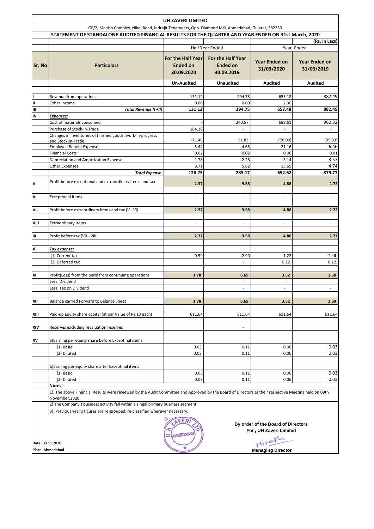|                                                                                                                                                                    | UH ZAVERI LIMITED                                                                                                                                                      |                                                           |                                                           |                                    |                                    |  |  |  |
|--------------------------------------------------------------------------------------------------------------------------------------------------------------------|------------------------------------------------------------------------------------------------------------------------------------------------------------------------|-----------------------------------------------------------|-----------------------------------------------------------|------------------------------------|------------------------------------|--|--|--|
| GF/2, Manish Complex, Nikol Road, Indrajit Tenaments, Opp. Diamond Mill, Ahmedabad, Gujarat, 382350                                                                |                                                                                                                                                                        |                                                           |                                                           |                                    |                                    |  |  |  |
|                                                                                                                                                                    | STATEMENT OF STANDALONE AUDITED FINANCIAL RESULTS FOR THE QUARTER AND YEAR ENDED ON 31st March, 2020                                                                   |                                                           |                                                           |                                    |                                    |  |  |  |
|                                                                                                                                                                    |                                                                                                                                                                        | Half Year Ended                                           |                                                           | (Rs. In Lacs)<br>Year Ended        |                                    |  |  |  |
| Sr. No                                                                                                                                                             | <b>Particulars</b>                                                                                                                                                     | <b>For the Half Year</b><br><b>Ended on</b><br>30.09.2020 | <b>For the Half Year</b><br><b>Ended on</b><br>30.09.2019 | <b>Year Ended on</b><br>31/03/2020 | <b>Year Ended on</b><br>31/03/2019 |  |  |  |
|                                                                                                                                                                    |                                                                                                                                                                        | <b>Un-Audited</b>                                         | <b>Unaudited</b>                                          | <b>Audited</b>                     | <b>Audited</b>                     |  |  |  |
|                                                                                                                                                                    | Revenue from operations                                                                                                                                                | 131.12                                                    | 294.75                                                    | 655.18                             | 882.49                             |  |  |  |
| Ш                                                                                                                                                                  | Other Income                                                                                                                                                           | 0.00                                                      | 0.00                                                      | 2.30                               |                                    |  |  |  |
| Ш                                                                                                                                                                  | Total Revenue (I +II)                                                                                                                                                  | 131.12                                                    | 294.75                                                    | 657.48                             | 882.49                             |  |  |  |
| IV                                                                                                                                                                 | Expenses:                                                                                                                                                              |                                                           |                                                           |                                    |                                    |  |  |  |
|                                                                                                                                                                    | Cost of materials consumed                                                                                                                                             |                                                           | 240.57                                                    | 688.61                             | 960.32                             |  |  |  |
|                                                                                                                                                                    | Purchase of Stock-in-Trade                                                                                                                                             | 184.28                                                    | ÷.                                                        | $\sim$                             | ÷,                                 |  |  |  |
|                                                                                                                                                                    | Changes in inventories of finished goods, work-in-progress                                                                                                             | $-71.48$                                                  | 31.83                                                     |                                    |                                    |  |  |  |
|                                                                                                                                                                    | and Stock-in-Trade<br>Employee Benefit Expense                                                                                                                         | 5.44                                                      | 4.65                                                      | (76.00)<br>21.16                   | (95.33)<br>6.46                    |  |  |  |
|                                                                                                                                                                    | <b>Financial Costs</b>                                                                                                                                                 | 0.02                                                      | 0.02                                                      | 0.06                               | 0.01                               |  |  |  |
|                                                                                                                                                                    | Depreciation and Amortization Expense                                                                                                                                  | 1.78                                                      | 2.28                                                      | 3.14                               | 3.57                               |  |  |  |
|                                                                                                                                                                    | <b>Other Expenses</b>                                                                                                                                                  | 8.71                                                      | 5.82                                                      | 15.65                              | 4.74                               |  |  |  |
|                                                                                                                                                                    | <b>Total Expense</b>                                                                                                                                                   | 128.75                                                    | 285.17                                                    | 652.62                             | 879.77                             |  |  |  |
| v                                                                                                                                                                  | Profit before exceptional and extraordinary items and tax                                                                                                              |                                                           |                                                           |                                    |                                    |  |  |  |
|                                                                                                                                                                    |                                                                                                                                                                        | 2.37                                                      | 9.58                                                      | 4.86                               | 2.72                               |  |  |  |
| VI                                                                                                                                                                 | <b>Exceptional Items</b>                                                                                                                                               | $\sim$                                                    | ٠                                                         | ٠                                  | $\overline{\phantom{a}}$           |  |  |  |
|                                                                                                                                                                    |                                                                                                                                                                        |                                                           |                                                           |                                    |                                    |  |  |  |
| VII                                                                                                                                                                | Profit before extraordinary items and tax (V - VI)                                                                                                                     | 2.37                                                      | 9.58                                                      | 4.86                               | 2.72                               |  |  |  |
| VIII                                                                                                                                                               | <b>Extraordinary Items</b>                                                                                                                                             | $\sim$                                                    | $\overline{\phantom{a}}$                                  |                                    | $\overline{\phantom{a}}$           |  |  |  |
|                                                                                                                                                                    |                                                                                                                                                                        |                                                           |                                                           |                                    |                                    |  |  |  |
| IX                                                                                                                                                                 | Profit before tax (VII - VIII)                                                                                                                                         | 2.37                                                      | 9.58                                                      | 4.86                               | 2.72                               |  |  |  |
| x                                                                                                                                                                  | <u>Tax expense:</u>                                                                                                                                                    |                                                           |                                                           |                                    |                                    |  |  |  |
|                                                                                                                                                                    | (1) Current tax                                                                                                                                                        | 0.59                                                      | 2.90                                                      | 1.22                               | 1.00                               |  |  |  |
|                                                                                                                                                                    | (2) Deferred tax                                                                                                                                                       |                                                           | ÷,                                                        | 0.12                               | 0.12                               |  |  |  |
| XI                                                                                                                                                                 | Profit(Loss) from the perid from continuing operations<br>Less: Dividend                                                                                               | 1.78                                                      | 6.69<br>$\overline{\phantom{a}}$                          | 3.52<br>$\overline{\phantom{a}}$   | 1.60<br>$\overline{\phantom{a}}$   |  |  |  |
|                                                                                                                                                                    | Less: Tax on Dividend                                                                                                                                                  |                                                           | $\overline{\phantom{a}}$                                  | $\overline{\phantom{a}}$           | $\overline{\phantom{a}}$           |  |  |  |
|                                                                                                                                                                    |                                                                                                                                                                        |                                                           |                                                           |                                    |                                    |  |  |  |
| XII                                                                                                                                                                | Balance carried Forward to Balance Sheet                                                                                                                               | 1.78                                                      | 6.69                                                      | 3.52                               | 1.60                               |  |  |  |
| XIII                                                                                                                                                               | Paid-up Equity share capital (at par Value of Rs.10 each)                                                                                                              | 611.64                                                    | 611.64                                                    | 611.64                             | 611.64                             |  |  |  |
| XIV                                                                                                                                                                | Reserves excluding revaluation reserves                                                                                                                                |                                                           | $\overline{\phantom{a}}$                                  |                                    |                                    |  |  |  |
|                                                                                                                                                                    |                                                                                                                                                                        |                                                           |                                                           |                                    |                                    |  |  |  |
| XV                                                                                                                                                                 | a)Earning per equity share before Exceptinal items<br>(1) Basic                                                                                                        | 0.03                                                      | 0.11                                                      | 0.06                               | 0.03                               |  |  |  |
|                                                                                                                                                                    | (2) Diluted                                                                                                                                                            | 0.03                                                      | 0.11                                                      | 0.06                               | 0.03                               |  |  |  |
|                                                                                                                                                                    |                                                                                                                                                                        |                                                           |                                                           |                                    |                                    |  |  |  |
|                                                                                                                                                                    | b)Earning per equity share after Exceptinal items                                                                                                                      |                                                           |                                                           |                                    |                                    |  |  |  |
|                                                                                                                                                                    | (1) Basic                                                                                                                                                              | 0.03                                                      | 0.11                                                      | 0.06                               | 0.03                               |  |  |  |
|                                                                                                                                                                    | (2) Diluted                                                                                                                                                            | 0.03                                                      | 0.11                                                      | 0.06                               | 0.03                               |  |  |  |
|                                                                                                                                                                    | Notes:                                                                                                                                                                 |                                                           |                                                           |                                    |                                    |  |  |  |
|                                                                                                                                                                    | 1). The above Financial Results were reviewed by the Audit Committee and Approved by the Board of Directors at their respective Meeting held on 09th<br>November, 2020 |                                                           |                                                           |                                    |                                    |  |  |  |
| 2) The Company's business activity fall within a singal primary business segment.<br>3). Previous year's figures are re-grouped, re-classified wherever necessary. |                                                                                                                                                                        |                                                           |                                                           |                                    |                                    |  |  |  |
|                                                                                                                                                                    | VER<br>By order of the Board of Directors<br>For, UH Zaveri Limited<br><b>L'UEFDAB</b><br>ter<br>Date: 09.11.2020                                                      |                                                           |                                                           |                                    |                                    |  |  |  |
| <b>Place: Ahmedabad</b>                                                                                                                                            |                                                                                                                                                                        |                                                           |                                                           | <b>Managing Director</b>           |                                    |  |  |  |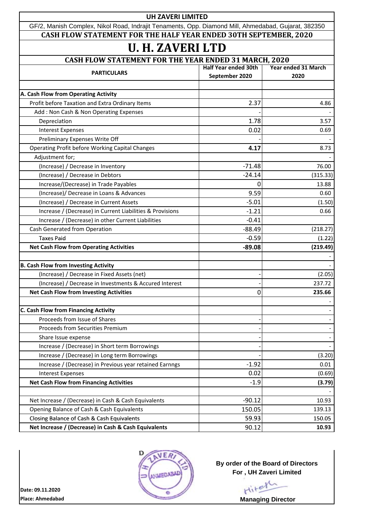| <b>UH ZAVERI LIMITED</b>                                                                            |                             |                            |  |  |  |  |  |
|-----------------------------------------------------------------------------------------------------|-----------------------------|----------------------------|--|--|--|--|--|
| GF/2, Manish Complex, Nikol Road, Indrajit Tenaments, Opp. Diamond Mill, Ahmedabad, Gujarat, 382350 |                             |                            |  |  |  |  |  |
| CASH FLOW STATEMENT FOR THE HALF YEAR ENDED 30TH SEPTEMBER, 2020                                    |                             |                            |  |  |  |  |  |
| <b>U. H. ZAVERI LTD</b>                                                                             |                             |                            |  |  |  |  |  |
| <b>CASH FLOW STATEMENT FOR THE YEAR ENDED 31 MARCH, 2020</b>                                        |                             |                            |  |  |  |  |  |
| <b>PARTICULARS</b>                                                                                  | <b>Half Year ended 30th</b> | <b>Year ended 31 March</b> |  |  |  |  |  |
|                                                                                                     | September 2020              | 2020                       |  |  |  |  |  |
| A. Cash Flow from Operating Activity                                                                |                             |                            |  |  |  |  |  |
| Profit before Taxation and Extra Ordinary Items                                                     | 2.37                        | 4.86                       |  |  |  |  |  |
| Add: Non Cash & Non Operating Expenses                                                              |                             |                            |  |  |  |  |  |
| Depreciation                                                                                        | 1.78                        | 3.57                       |  |  |  |  |  |
| <b>Interest Expenses</b>                                                                            | 0.02<br>0.69                |                            |  |  |  |  |  |
| Preliminary Expenses Write Off                                                                      |                             |                            |  |  |  |  |  |
| Operating Profit before Working Capital Changes                                                     | 4.17                        | 8.73                       |  |  |  |  |  |
| Adjustment for;                                                                                     |                             |                            |  |  |  |  |  |
| (Increase) / Decrease in Inventory                                                                  | $-71.48$                    | 76.00                      |  |  |  |  |  |
| (Increase) / Decrease in Debtors                                                                    | $-24.14$                    | (315.33)                   |  |  |  |  |  |
| Increase/(Decrease) in Trade Payables                                                               | 0                           | 13.88                      |  |  |  |  |  |
| (Increase)/ Decrease in Loans & Advances                                                            | 9.59                        | 0.60                       |  |  |  |  |  |
| (Increase) / Decrease in Current Assets                                                             | $-5.01$                     | (1.50)                     |  |  |  |  |  |
| Increase / (Decrease) in Current Liabilities & Provisions                                           | $-1.21$                     | 0.66                       |  |  |  |  |  |
| Increase / (Decrease) in other Current Liabilities                                                  | $-0.41$                     |                            |  |  |  |  |  |
| Cash Generated from Operation                                                                       | $-88.49$                    | (218.27)                   |  |  |  |  |  |
| <b>Taxes Paid</b>                                                                                   | $-0.59$                     | (1.22)                     |  |  |  |  |  |
| <b>Net Cash Flow from Operating Activities</b>                                                      | $-89.08$                    | (219.49)                   |  |  |  |  |  |
| <b>B. Cash Flow from Investing Activity</b>                                                         |                             |                            |  |  |  |  |  |
| (Increase) / Decrease in Fixed Assets (net)                                                         |                             | (2.05)                     |  |  |  |  |  |
| (Increase) / Decrease in Investments & Accured Interest                                             |                             | 237.72                     |  |  |  |  |  |
| <b>Net Cash Flow from Investing Activities</b>                                                      | $\Omega$                    | 235.66                     |  |  |  |  |  |
|                                                                                                     |                             |                            |  |  |  |  |  |
| C. Cash Flow from Financing Activity                                                                |                             |                            |  |  |  |  |  |
| Proceeds from Issue of Shares                                                                       |                             |                            |  |  |  |  |  |
| Proceeds from Securities Premium                                                                    |                             |                            |  |  |  |  |  |
| Share Issue expense                                                                                 |                             |                            |  |  |  |  |  |
| Increase / (Decrease) in Short term Borrowings                                                      |                             |                            |  |  |  |  |  |
| Increase / (Decrease) in Long term Borrowings                                                       |                             | (3.20)                     |  |  |  |  |  |
| Increase / (Decrease) in Previous year retained Earnngs                                             | $-1.92$                     | 0.01                       |  |  |  |  |  |
| <b>Interest Expenses</b>                                                                            | 0.02                        | (0.69)                     |  |  |  |  |  |
| <b>Net Cash Flow from Financing Activities</b>                                                      | $-1.9$                      | (3.79)                     |  |  |  |  |  |
|                                                                                                     |                             |                            |  |  |  |  |  |
| Net Increase / (Decrease) in Cash & Cash Equivalents                                                | $-90.12$                    | 10.93                      |  |  |  |  |  |
| Opening Balance of Cash & Cash Equivalents                                                          | 150.05                      | 139.13                     |  |  |  |  |  |
| Closing Balance of Cash & Cash Equivalents                                                          | 59.93                       | 150.05                     |  |  |  |  |  |
| Net Increase / (Decrease) in Cash & Cash Equivalents                                                | 90.12                       | 10.93                      |  |  |  |  |  |



**By order of the Board of Directors For , UH Zaveri Limited**



**Place: Ahmedabad Date: 09.11.2020**